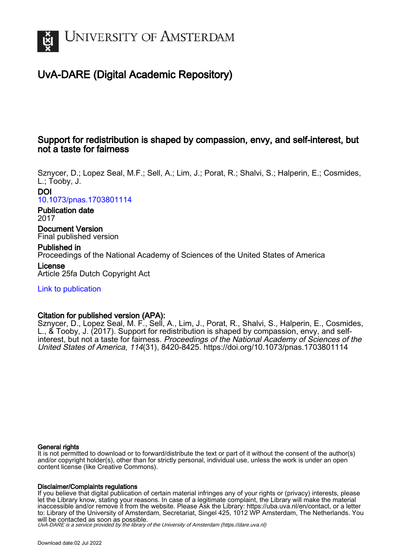

# UvA-DARE (Digital Academic Repository)

## Support for redistribution is shaped by compassion, envy, and self-interest, but not a taste for fairness

Sznycer, D.; Lopez Seal, M.F.; Sell, A.; Lim, J.; Porat, R.; Shalvi, S.; Halperin, E.; Cosmides, L.; Tooby, J. DOI

[10.1073/pnas.1703801114](https://doi.org/10.1073/pnas.1703801114)

## Publication date 2017

Document Version Final published version

# Published in

Proceedings of the National Academy of Sciences of the United States of America

## License

Article 25fa Dutch Copyright Act

[Link to publication](https://dare.uva.nl/personal/pure/en/publications/support-for-redistribution-is-shaped-by-compassion-envy-and-selfinterest-but-not-a-taste-for-fairness(cb79d79d-ce71-4e72-8e49-f6f858922cde).html)

## Citation for published version (APA):

Sznycer, D., Lopez Seal, M. F., Sell, A., Lim, J., Porat, R., Shalvi, S., Halperin, E., Cosmides, L., & Tooby, J. (2017). Support for redistribution is shaped by compassion, envy, and selfinterest, but not a taste for fairness. Proceedings of the National Academy of Sciences of the United States of America, 114(31), 8420-8425.<https://doi.org/10.1073/pnas.1703801114>

## General rights

It is not permitted to download or to forward/distribute the text or part of it without the consent of the author(s) and/or copyright holder(s), other than for strictly personal, individual use, unless the work is under an open content license (like Creative Commons).

## Disclaimer/Complaints regulations

If you believe that digital publication of certain material infringes any of your rights or (privacy) interests, please let the Library know, stating your reasons. In case of a legitimate complaint, the Library will make the material inaccessible and/or remove it from the website. Please Ask the Library: https://uba.uva.nl/en/contact, or a letter to: Library of the University of Amsterdam, Secretariat, Singel 425, 1012 WP Amsterdam, The Netherlands. You will be contacted as soon as possible.

UvA-DARE is a service provided by the library of the University of Amsterdam (http*s*://dare.uva.nl)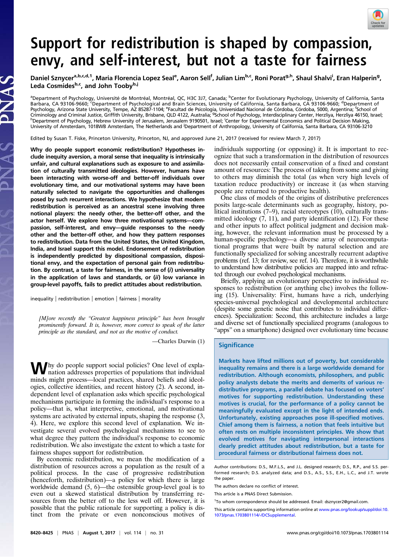

# Support for redistribution is shaped by compassion, envy, and self-interest, but not a taste for fairness

Daniel Sznycer<sup>a,b,c,d,1</sup>, Maria Florencia Lopez Seal<sup>e</sup>, Aaron Sell<sup>f</sup>, Julian Lim<sup>b,c</sup>, Roni Porat<sup>g,h</sup>, Shaul Shalvi<sup>i</sup>, Eran Halperin<sup>g</sup>, Leda Cosmides<sup>b,c</sup>, and John Toobv<sup>b,j</sup>

<sup>a</sup>Department of Psychology, Université de Montréal, Montréal, QC, H3C 3J7, Canada; <sup>b</sup>Center for Evolutionary Psychology, University of California, Santa Barbara, CA 93106-9660; ÉDepartment of Psychological and Brain Sciences, University of California, Santa Barbara, CA 93106-9660; <sup>d</sup>Department of Psychology, Arizona State University, Tempe, AZ 85287-1104; <sup>e</sup>Facultad de Psicología, Universidad Nacional de Córdoba, Córdoba, S000, Argentina; <sup>f</sup>School of<br>Criminology and Criminal Justice, Griffth University, Brisbane, Department of Psychology, Hebrew University of Jerusalem, Jerusalem 9190501, Israel; <sup>i</sup>Center for Experimental Economics and Political Decision Making, University of Amsterdam, 1018WB Amsterdam, The Netherlands and <sup>j</sup>Department of Anthropology, University of California, Santa Barbara, CA 93106-3210

Edited by Susan T. Fiske, Princeton University, Princeton, NJ, and approved June 21, 2017 (received for review March 7, 2017)

Why do people support economic redistribution? Hypotheses include inequity aversion, a moral sense that inequality is intrinsically unfair, and cultural explanations such as exposure to and assimilation of culturally transmitted ideologies. However, humans have been interacting with worse-off and better-off individuals over evolutionary time, and our motivational systems may have been naturally selected to navigate the opportunities and challenges posed by such recurrent interactions. We hypothesize that modern redistribution is perceived as an ancestral scene involving three notional players: the needy other, the better-off other, and the actor herself. We explore how three motivational systems—compassion, self-interest, and envy—guide responses to the needy other and the better-off other, and how they pattern responses to redistribution. Data from the United States, the United Kingdom, India, and Israel support this model. Endorsement of redistribution is independently predicted by dispositional compassion, dispositional envy, and the expectation of personal gain from redistribution. By contrast, a taste for fairness, in the sense of (i) universality in the application of laws and standards, or (ii) low variance in group-level payoffs, fails to predict attitudes about redistribution.

inequality | redistribution | emotion | fairness | morality

[M]ore recently the "Greatest happiness principle" has been brought prominently forward. It is, however, more correct to speak of the latter principle as the standard, and not as the motive of conduct.

—Charles Darwin (1)

Why do people support social policies? One level of expla-<br>nation addresses properties of populations that individual minds might process—local practices, shared beliefs and ideologies, collective identities, and recent history (2). A second, independent level of explanation asks which specific psychological mechanisms participate in forming the individual's response to a policy—that is, what interpretive, emotional, and motivational systems are activated by external inputs, shaping the response (3, 4). Here, we explore this second level of explanation. We investigate several evolved psychological mechanisms to see to what degree they pattern the individual's response to economic redistribution. We also investigate the extent to which a taste for fairness shapes support for redistribution.

By economic redistribution, we mean the modification of a distribution of resources across a population as the result of a political process. In the case of progressive redistribution (henceforth, redistribution)—a policy for which there is large worldwide demand (5, 6)—the ostensible group-level goal is to even out a skewed statistical distribution by transferring resources from the better off to the less well off. However, it is possible that the public rationale for supporting a policy is distinct from the private or even nonconscious motives of individuals supporting (or opposing) it. It is important to recognize that such a transformation in the distribution of resources does not necessarily entail conservation of a fixed and constant amount of resources: The process of taking from some and giving to others may diminish the total (as when very high levels of taxation reduce productivity) or increase it (as when starving people are returned to productive health).

One class of models of the origins of distributive preferences posits large-scale determinants such as geography, history, political institutions (7–9), racial stereotypes (10), culturally transmitted ideology (7, 11), and party identification (12). For these and other inputs to affect political judgment and decision making, however, the relevant information must be processed by a human-specific psychology—a diverse array of neurocomputational programs that were built by natural selection and are functionally specialized for solving ancestrally recurrent adaptive problems (ref. 13; for review, see ref. 14). Therefore, it is worthwhile to understand how distributive policies are mapped into and refracted through our evolved psychological mechanisms.

Briefly, applying an evolutionary perspective to individual responses to redistribution (or anything else) involves the following (15). Universality: First, humans have a rich, underlying species-universal psychological and developmental architecture (despite some genetic noise that contributes to individual differences). Specialization: Second, this architecture includes a large and diverse set of functionally specialized programs (analogous to "apps" on a smartphone) designed over evolutionary time because

#### **Significance**

Markets have lifted millions out of poverty, but considerable inequality remains and there is a large worldwide demand for redistribution. Although economists, philosophers, and public policy analysts debate the merits and demerits of various redistributive programs, a parallel debate has focused on voters' motives for supporting redistribution. Understanding these motives is crucial, for the performance of a policy cannot be meaningfully evaluated except in the light of intended ends. Unfortunately, existing approaches pose ill-specified motives. Chief among them is fairness, a notion that feels intuitive but often rests on multiple inconsistent principles. We show that evolved motives for navigating interpersonal interactions clearly predict attitudes about redistribution, but a taste for procedural fairness or distributional fairness does not.

Author contributions: D.S., M.F.L.S., and J.L. designed research; D.S., R.P., and S.S. performed research; D.S. analyzed data; and D.S., A.S., S.S., E.H., L.C., and J.T. wrote the paper.

The authors declare no conflict of interest.

This article is a PNAS Direct Submission.

<sup>&</sup>lt;sup>1</sup>To whom correspondence should be addressed. Email: [dsznycer2@gmail.com.](mailto:dsznycer2@gmail.com)

This article contains supporting information online at [www.pnas.org/lookup/suppl/doi:10.](http://www.pnas.org/lookup/suppl/doi:10.1073/pnas.1703801114/-/DCSupplemental) [1073/pnas.1703801114/-/DCSupplemental.](http://www.pnas.org/lookup/suppl/doi:10.1073/pnas.1703801114/-/DCSupplemental)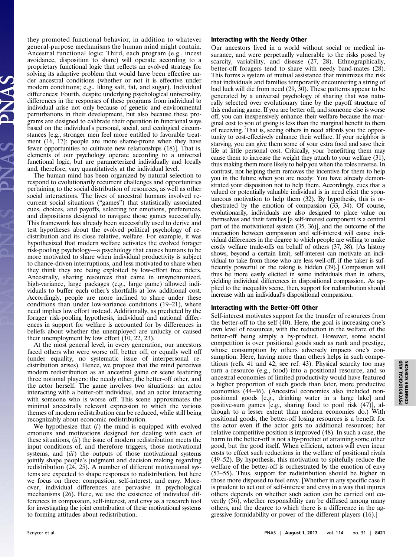they promoted functional behavior, in addition to whatever general-purpose mechanisms the human mind might contain. Ancestral functional logic: Third, each program (e.g., incest avoidance, disposition to share) will operate according to a proprietary functional logic that reflects an evolved strategy for solving its adaptive problem that would have been effective under ancestral conditions (whether or not it is effective under modern conditions; e.g., liking salt, fat, and sugar). Individual differences: Fourth, despite underlying psychological universality, differences in the responses of these programs from individual to individual arise not only because of genetic and environmental perturbations in their development, but also because these programs are designed to calibrate their operation in functional ways based on the individual's personal, social, and ecological circumstances [e.g., stronger men feel more entitled to favorable treatment (16, 17); people are more shame-prone when they have fewer opportunities to cultivate new relationships (18)]. That is, elements of our psychology operate according to a universal functional logic, but are parameterized individually and locally and, therefore, vary quantitatively at the individual level.

The human mind has been organized by natural selection to respond to evolutionarily recurrent challenges and opportunities pertaining to the social distribution of resources, as well as other social interactions. The lives of ancestral humans involved recurrent social situations ("games") that statistically associated cues, choices, and payoffs, selecting for emotions, preferences, and dispositions designed to navigate those games successfully. This framework has already been successfully used to derive and test hypotheses about the evolved political psychology of redistribution and its close relative, welfare. For example, it was hypothesized that modern welfare activates the evolved forager risk-pooling psychology—a psychology that causes humans to be more motivated to share when individual productivity is subject to chance-driven interruptions, and less motivated to share when they think they are being exploited by low-effort free riders. Ancestrally, sharing resources that came in unsynchronized, high-variance, large packages (e.g., large game) allowed individuals to buffer each other's shortfalls at low additional cost. Accordingly, people are more inclined to share under these conditions than under low-variance conditions (19–21), where need implies low effort instead. Additionally, as predicted by the forager risk-pooling hypothesis, individual and national differences in support for welfare is accounted for by differences in beliefs about whether the unemployed are unlucky or caused their unemployment by low effort (10, 22, 23).

At the most general level, in every generation, our ancestors faced others who were worse off, better off, or equally well off (under equality, no systematic issue of interpersonal redistribution arises). Hence, we propose that the mind perceives modern redistribution as an ancestral game or scene featuring three notional players: the needy other, the better-off other, and the actor herself. The game involves two situations: an actor interacting with a better-off individual, and an actor interacting with someone who is worse off. This scene approximates the minimal ancestrally relevant expression to which the various themes of modern redistribution can be reduced, while still being recognizably about economic redistribution.

We hypothesize that  $(i)$  the mind is equipped with evolved emotions and motivations designed for dealing with each of these situations,  $(ii)$  the issue of modern redistribution meets the input conditions of, and therefore triggers, those motivational systems, and (iii) the outputs of those motivational systems jointly shape people's judgment and decision making regarding redistribution (24, 25). A number of different motivational systems are expected to shape responses to redistribution, but here we focus on three: compassion, self-interest, and envy. Moreover, individual differences are pervasive in psychological mechanisms (26). Here, we use the existence of individual differences in compassion, self-interest, and envy as a research tool for investigating the joint contribution of these motivational systems to forming attitudes about redistribution.

#### Interacting with the Needy Other

Our ancestors lived in a world without social or medical insurance, and were perpetually vulnerable to the risks posed by scarcity, variability, and disease (27, 28). Ethnographically, better-off foragers tend to share with needy band-mates (28). This forms a system of mutual assistance that minimizes the risk that individuals and families temporarily encountering a string of bad luck will die from need (29, 30). These patterns appear to be generated by a universal psychology of sharing that was naturally selected over evolutionary time by the payoff structure of this enduring game. If you are better off, and someone else is worse off, you can inexpensively enhance their welfare because the marginal cost to you of giving is less than the marginal benefit to them of receiving. That is, seeing others in need affords you the opportunity to cost-effectively enhance their welfare. If your neighbor is starving, you can give them some of your extra food and save their life at little personal cost. Critically, your benefitting them may cause them to increase the weight they attach to your welfare (31), thus making them more likely to help you when the roles reverse. In contrast, not helping them removes the incentive for them to help you in the future when you are needy: You have already demonstrated your disposition not to help them. Accordingly, cues that a valued or potentially valuable individual is in need elicit the spontaneous motivation to help them (32). By hypothesis, this is orchestrated by the emotion of compassion (33, 34). Of course, evolutionarily, individuals are also designed to place value on themselves and their families [a self-interest component is a central part of the motivational system (35, 36)], and the outcome of the interaction between compassion and self-interest will cause individual differences in the degree to which people are willing to make costly welfare trade-offs on behalf of others (37, 38). [As history shows, beyond a certain limit, self-interest can motivate an individual to take from those who are less well-off, if the taker is sufficiently powerful or the taking is hidden (39).] Compassion will thus be more easily elicited in some individuals than in others, yielding individual differences in dispositional compassion. As applied to the inequality scene, then, support for redistribution should increase with an individual's dispositional compassion.

#### Interacting with the Better-Off Other

Self-interest motivates support for the transfer of resources from the better-off to the self (40). Here, the goal is increasing one's own level of resources, with the reduction in the welfare of the better-off being simply a by-product. However, some social competition is over positional goods such as rank and prestige, whose consumption by others adversely impacts one's consumption. Here, having more than others helps in such competitions (refs. 41 and 42; see ref. 43). Physical scarcity too may turn a resource (e.g., food) into a positional resource, and so ancestral economies of limited productivity would have featured a higher proportion of such goods than later, more productive economies (44–46). (Ancestral economies also included nonpositional goods [e.g., drinking water in a large lake] and positive-sum games [e.g., sharing food to pool risk (47)], although to a lesser extent than modern economies do.) With positional goods, the better-off losing resources is a benefit for the actor even if the actor gets no additional resources; her relative competitive position is improved (48). In such a case, the harm to the better-off is not a by-product of attaining some other good, but the good itself. When efficient, actors will even incur costs to effect such reductions in the welfare of positional rivals (49–52). By hypothesis, this motivation to spitefully reduce the welfare of the better-off is orchestrated by the emotion of envy (53–55). Thus, support for redistribution should be higher in those more disposed to feel envy. [Whether in any specific case it is prudent to act out of self-interest and envy in a way that injures others depends on whether such action can be carried out covertly (56), whether responsibility can be diffused among many others, and the degree to which there is a difference in the aggressive formidability or power of the different players (16).]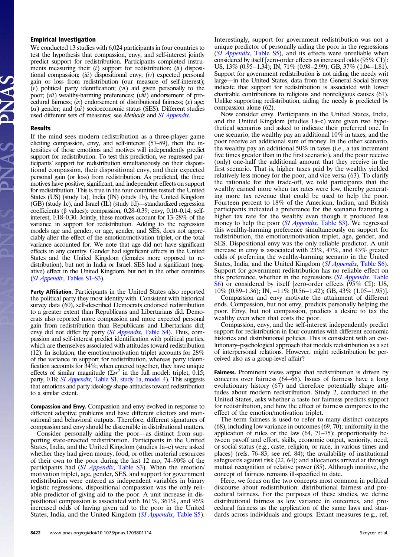#### Empirical Investigation

We conducted 13 studies with 6,024 participants in four countries to test the hypothesis that compassion, envy, and self-interest jointly predict support for redistribution. Participants completed instruments measuring their  $(i)$  support for redistribution;  $(ii)$  dispositional compassion;  $(iii)$  dispositional envy;  $(iv)$  expected personal gain or loss from redistribution (our measure of self-interest);  $(v)$  political party identification;  $(vi)$  aid given personally to the poor; (vii) wealthy-harming preferences; (viii) endorsement of procedural fairness;  $(ix)$  endorsement of distributional fairness;  $(x)$  age;  $(xi)$  gender; and  $(xii)$  socioeconomic status (SES). Different studies used different sets of measures; see Methods and [SI Appendix](http://www.pnas.org/lookup/suppl/doi:10.1073/pnas.1703801114/-/DCSupplemental/pnas.1703801114.sapp.pdf).

#### Results

If the mind sees modern redistribution as a three-player game eliciting compassion, envy, and self-interest (57–59), then the intensities of those emotions and motives will independently predict support for redistribution. To test this prediction, we regressed participants' support for redistribution simultaneously on their dispositional compassion, their dispositional envy, and their expected personal gain (or loss) from redistribution. As predicted, the three motives have positive, significant, and independent effects on support for redistribution. This is true in the four countries tested: the United States (US) (study 1a), India (IN) (study 1b), the United Kingdom (GB) (study 1c), and Israel (IL) (study 1d)—standardized regression coefficients (β values): compassion, 0.28–0.39; envy, 0.10–0.14; selfinterest, 0.18–0.30. Jointly, these motives account for 13–28% of the variance in support for redistribution. Adding to the regression models age and gender, or age, gender, and SES, does not appreciably alter the effect of the emotion/motivation triplet, or the total variance accounted for. We note that age did not have significant effects in any country. Gender had significant effects in the United States and the United Kingdom (females more opposed to redistribution), but not in India or Israel. SES had a significant (negative) effect in the United Kingdom, but not in the other countries ([SI Appendix](http://www.pnas.org/lookup/suppl/doi:10.1073/pnas.1703801114/-/DCSupplemental/pnas.1703801114.sapp.pdf), Tables S1–[S3\)](http://www.pnas.org/lookup/suppl/doi:10.1073/pnas.1703801114/-/DCSupplemental/pnas.1703801114.sapp.pdf).

Party Affiliation. Participants in the United States also reported the political party they most identify with. Consistent with historical survey data (60), self-described Democrats endorsed redistribution to a greater extent than Republicans and Libertarians did. Democrats also reported more compassion and more expected personal gain from redistribution than Republicans and Libertarians did; envy did not differ by party ([SI Appendix](http://www.pnas.org/lookup/suppl/doi:10.1073/pnas.1703801114/-/DCSupplemental/pnas.1703801114.sapp.pdf), Table S4). Thus, compassion and self-interest predict identification with political parties, which are themselves associated with attitudes toward redistribution (12). In isolation, the emotion/motivation triplet accounts for 28% of the variance in support for redistribution, whereas party identification accounts for  $34\%$ ; when entered together, they have unique effects of similar magnitude ( $\Sigma sr^2$  in the full model: triplet, 0.15; party, 0.18; SI Appendix[, Table S1, study 1a, model 4](http://www.pnas.org/lookup/suppl/doi:10.1073/pnas.1703801114/-/DCSupplemental/pnas.1703801114.sapp.pdf)). This suggests that emotions and party ideology shape attitudes toward redistribution to a similar extent.

Compassion and Envy. Compassion and envy evolved in response to different adaptive problems and have different elicitors and motivational and behavioral outputs. Therefore, different signatures of compassion and envy should be discernible in distributional matters.

Consider personally aiding the poor—as distinct from supporting state-enacted redistribution. Participants in the United States, India, and the United Kingdom (studies 1a–c) were asked whether they had given money, food, or other material resources of their own to the poor during the last 12 mo; 74–90% of the participants had ([SI Appendix](http://www.pnas.org/lookup/suppl/doi:10.1073/pnas.1703801114/-/DCSupplemental/pnas.1703801114.sapp.pdf), Table S3). When the emotion/ motivation triplet, age, gender, SES, and support for government redistribution were entered as independent variables in binary logistic regressions, dispositional compassion was the only reliable predictor of giving aid to the poor. A unit increase in dispositional compassion is associated with 161%, 361%, and 96% increased odds of having given aid to the poor in the United States, India, and the United Kingdom (*[SI Appendix](http://www.pnas.org/lookup/suppl/doi:10.1073/pnas.1703801114/-/DCSupplemental/pnas.1703801114.sapp.pdf)*, Table S5). Interestingly, support for government redistribution was not a unique predictor of personally aiding the poor in the regressions ([SI Appendix](http://www.pnas.org/lookup/suppl/doi:10.1073/pnas.1703801114/-/DCSupplemental/pnas.1703801114.sapp.pdf), Table S5), and its effects were unreliable when considered by itself [zero-order effects as increased odds (95% CI)]: US, 13% (0.95−1.34); IN, 71% (0.98−2.99); GB, 37% (1.04−1.81). Support for government redistribution is not aiding the needy writ large—in the United States, data from the General Social Survey indicate that support for redistribution is associated with lower charitable contributions to religious and nonreligious causes (61). Unlike supporting redistribution, aiding the needy is predicted by compassion alone (62).

Now consider envy. Participants in the United States, India, and the United Kingdom (studies 1a–c) were given two hypothetical scenarios and asked to indicate their preferred one. In one scenario, the wealthy pay an additional 10% in taxes, and the poor receive an additional sum of money. In the other scenario, the wealthy pay an additional 50% in taxes (i.e., a tax increment five times greater than in the first scenario), and the poor receive (only) one-half the additional amount that they receive in the first scenario. That is, higher taxes paid by the wealthy yielded relatively less money for the poor, and vice versa (63). To clarify the rationale for this trade-off, we told participants that the wealthy earned more when tax rates were low, thereby generating more tax revenue that could be used to help the poor. Fourteen percent to 18% of the American, Indian, and British participants indicated a preference for the scenario featuring a higher tax rate for the wealthy even though it produced less money to help the poor ([SI Appendix](http://www.pnas.org/lookup/suppl/doi:10.1073/pnas.1703801114/-/DCSupplemental/pnas.1703801114.sapp.pdf), Table S3). We regressed this wealthy-harming preference simultaneously on support for redistribution, the emotion/motivation triplet, age, gender, and SES. Dispositional envy was the only reliable predictor. A unit increase in envy is associated with 23%, 47%, and 43% greater odds of preferring the wealthy-harming scenario in the United States, India, and the United Kingdom ([SI Appendix](http://www.pnas.org/lookup/suppl/doi:10.1073/pnas.1703801114/-/DCSupplemental/pnas.1703801114.sapp.pdf), Table S6). Support for government redistribution has no reliable effect on this preference, whether in the regressions ([SI Appendix](http://www.pnas.org/lookup/suppl/doi:10.1073/pnas.1703801114/-/DCSupplemental/pnas.1703801114.sapp.pdf), Table [S6\)](http://www.pnas.org/lookup/suppl/doi:10.1073/pnas.1703801114/-/DCSupplemental/pnas.1703801114.sapp.pdf) or considered by itself [zero-order effects (95% CI): US, 10% (0.89–1.36); IN, −11% (0.56−1.42); GB, 43% (1.05−1.95)].

Compassion and envy motivate the attainment of different ends. Compassion, but not envy, predicts personally helping the poor. Envy, but not compassion, predicts a desire to tax the wealthy even when that costs the poor.

Compassion, envy, and the self-interest independently predict support for redistribution in four countries with different economic histories and distributional policies. This is consistent with an evolutionary–psychological approach that models redistribution as a set of interpersonal relations. However, might redistribution be perceived also as a group-level affair?

Fairness. Prominent views argue that redistribution is driven by concerns over fairness (64–66). Issues of fairness have a long evolutionary history (67) and therefore potentially shape attitudes about modern redistribution. Study 2, conducted in the United States, asks whether a taste for fairness predicts support for redistribution, and how the effect of fairness compares to the effect of the emotion/motivation triplet.

The term fairness is used to refer to many distinct concepts (68), including low variance in outcomes (69, 70); uniformity in the application of rules or the law (64, 71–75); proportionality between payoff and effort, skills, economic output, seniority, need, or social status (e.g., caste, religion, or race, in various times and places) (refs. 76–83; see ref. 84); the availability of institutional safeguards against risk (22, 64); and allocations arrived at through mutual recognition of relative power (85). Although intuitive, the concept of fairness remains ill-specified to date.

Here, we focus on the two concepts most common in political discourse about redistribution: distributional fairness and procedural fairness. For the purposes of these studies, we define distributional fairness as low variance in outcomes, and procedural fairness as the application of the same laws and standards across individuals and groups. Extant measures (e.g., ref.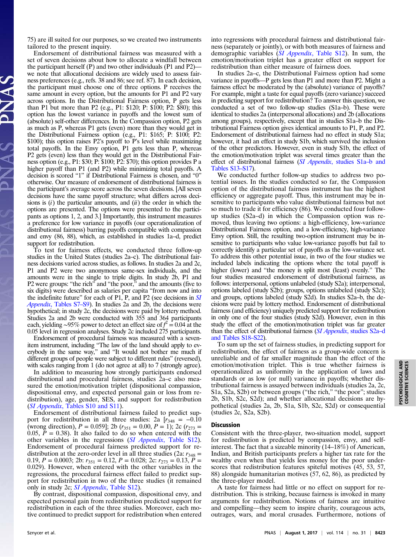75) are ill suited for our purposes, so we created two instruments tailored to the present inquiry.

Endorsement of distributional fairness was measured with a set of seven decisions about how to allocate a windfall between the participant herself (P) and two other individuals (P1 and P2) we note that allocational decisions are widely used to assess fairness preferences (e.g., refs. 38 and 86; see ref. 87). In each decision, the participant must choose one of three options. P receives the same amount in every option, but the amounts for P1 and P2 vary across options. In the Distributional Fairness option, P gets less than P1 but more than P2 (e.g., P1: \$120; P: \$100; P2: \$80); this option has the lowest variance in payoffs and the lowest sum of (absolute) self-other differences. In the Compassion option, P2 gets as much as P, whereas P1 gets (even) more than they would get in the Distributional Fairness option (e.g., P1: \$165; P: \$100; P2: \$100); this option raises P2's payoff to P's level while maximizing total payoffs. In the Envy option, P1 gets less than P, whereas P2 gets (even) less than they would get in the Distributional Fairness option (e.g., P1: \$30; P: \$100; P2: \$70); this option provides P a higher payoff than P1 (and P2) while minimizing total payoffs. A decision is scored "1" if Distributional Fairness is chosen, and "0" otherwise. Our measure of endorsement of distributional fairness is the participant's average score across the seven decisions. [All seven decisions have the same payoff structure; what differs across decisions is  $(i)$  the particular amounts, and  $(ii)$  the order in which the options are presented. The options were presented to the participants as options 1, 2, and 3.] Importantly, this instrument measures a preference for low variance in payoffs (our operationalization of distributional fairness) barring payoffs compatible with compassion and envy (86, 88), which, as established in studies 1a–d, predict support for redistribution.

To test for fairness effects, we conducted three follow-up studies in the United States (studies 2a–c). The distributional fairness decisions varied across studies, as follows. In studies 2a and 2c, P1 and P2 were two anonymous same-sex individuals, and the amounts were in the single to triple digits. In study 2b, P1 and P2 were groups: "the rich" and "the poor," and the amounts (five to six digits) were described as salaries per capita "from now and into the indefinite future" for each of P1, P, and P2 (see decisions in  $SI$ Appendix[, Tables S7](http://www.pnas.org/lookup/suppl/doi:10.1073/pnas.1703801114/-/DCSupplemental/pnas.1703801114.sapp.pdf)–[S9\)](http://www.pnas.org/lookup/suppl/doi:10.1073/pnas.1703801114/-/DCSupplemental/pnas.1703801114.sapp.pdf). In studies 2a and 2b, the decisions were hypothetical; in study 2c, the decisions were paid by lottery method. Studies 2a and 2b were conducted with 355 and 364 participants each, yielding ~95% power to detect an effect size of  $f^2 = 0.04$  at the 0.05 level in regression analyses. Study 2c included 275 participants.

Endorsement of procedural fairness was measured with a sevenitem instrument, including "The law of the land should apply to everybody in the same way," and "It would not bother me much if different groups of people were subject to different rules" (reversed), with scales ranging from 1 (do not agree at all) to 7 (strongly agree).

In addition to measuring how strongly participants endorsed distributional and procedural fairness, studies 2a–c also measured the emotion/motivation triplet (dispositional compassion, dispositional envy, and expected personal gain or loss from redistribution), age, gender, SES, and support for redistribution (SI Appendix[, Tables S10 and S11](http://www.pnas.org/lookup/suppl/doi:10.1073/pnas.1703801114/-/DCSupplemental/pnas.1703801114.sapp.pdf)).

Endorsement of distributional fairness failed to predict support for redistribution in all three studies: 2a  $[r_{348} = -0.10]$ (wrong direction),  $P = 0.059$ ]; 2b ( $r_{351} = 0.00$ ,  $P = 1$ ); 2c ( $r_{273} =$ 0.05,  $P = 0.38$ ). It also failed to do so when entered with the other variables in the regressions (SI Appendix[, Table S12\)](http://www.pnas.org/lookup/suppl/doi:10.1073/pnas.1703801114/-/DCSupplemental/pnas.1703801114.sapp.pdf). Endorsement of procedural fairness predicted support for redistribution at the zero-order level in all three studies (2a:  $r_{348}$  = 0.19,  $P = 0.0003$ ; 2b:  $r_{351} = 0.12$ ,  $P = 0.028$ ; 2c:  $r_{273} = 0.13$ ,  $P =$ 0.029). However, when entered with the other variables in the regressions, the procedural fairness effect failed to predict support for redistribution in two of the three studies (it remained only in study 2c; *[SI Appendix](http://www.pnas.org/lookup/suppl/doi:10.1073/pnas.1703801114/-/DCSupplemental/pnas.1703801114.sapp.pdf)*, Table S12).

By contrast, dispositional compassion, dispositional envy, and expected personal gain from redistribution predicted support for redistribution in each of the three studies. Moreover, each motive continued to predict support for redistribution when entered into regressions with procedural fairness and distributional fairness (separately or jointly), or with both measures of fairness and demographic variables ([SI Appendix](http://www.pnas.org/lookup/suppl/doi:10.1073/pnas.1703801114/-/DCSupplemental/pnas.1703801114.sapp.pdf), Table S12). In sum, the emotion/motivation triplet has a greater effect on support for redistribution than either measure of fairness does.

In studies 2a–c, the Distributional Fairness option had some variance in payoffs—P gets less than P1 and more than P2. Might a fairness effect be moderated by the (absolute) variance of payoffs? For example, might a taste for equal payoffs (zero variance) succeed in predicting support for redistribution? To answer this question, we conducted a set of two follow-up studies (S1a–b). These were identical to studies 2a (interpersonal allocations) and 2b (allocations among groups), respectively, except that in studies S1a–b the Distributional Fairness option gives identical amounts to P1, P, and P2. Endorsement of distributional fairness had no effect in study S1a; however, it had an effect in study S1b, which survived the inclusion of the other predictors. However, even in study S1b, the effect of the emotion/motivation triplet was several times greater than the effect of distributional fairness (SI Appendix[, studies S1a](http://www.pnas.org/lookup/suppl/doi:10.1073/pnas.1703801114/-/DCSupplemental/pnas.1703801114.sapp.pdf)–[b and](http://www.pnas.org/lookup/suppl/doi:10.1073/pnas.1703801114/-/DCSupplemental/pnas.1703801114.sapp.pdf) [Tables S13](http://www.pnas.org/lookup/suppl/doi:10.1073/pnas.1703801114/-/DCSupplemental/pnas.1703801114.sapp.pdf)–[S17](http://www.pnas.org/lookup/suppl/doi:10.1073/pnas.1703801114/-/DCSupplemental/pnas.1703801114.sapp.pdf)).

We conducted further follow-up studies to address two potential issues. In the studies conducted so far, the Compassion option of the distributional fairness instrument has the highest efficiency or aggregate payoff. Thus, this instrument may be insensitive to participants who value distributional fairness but not so much to trade it for efficiency (86). We conducted four followup studies (S2a–d) in which the Compassion option was removed, thus leaving two options: a high-efficiency, low-variance Distributional Fairness option, and a low-efficiency, high-variance Envy option. Still, the resulting two-option instrument may be insensitive to participants who value low-variance payoffs but fail to correctly identify a particular set of payoffs as the low-variance set. To address this other potential issue, in two of the four studies we included labels indicating the options where the total payoff is higher (lower) and "the money is split most (least) evenly." The four studies measured endorsement of distributional fairness, as follows: interpersonal, options unlabeled (study S2a); interpersonal, options labeled (study S2b); groups, options unlabeled (study S2c); and groups, options labeled (study S2d). In studies S2a–b, the decisions were paid by lottery method. Endorsement of distributional fairness (and efficiency) uniquely predicted support for redistribution in only one of the four studies (study S2d). However, even in this study the effect of the emotion/motivation triplet was far greater than the effect of distributional fairness (SI Appendix[, studies S2a](http://www.pnas.org/lookup/suppl/doi:10.1073/pnas.1703801114/-/DCSupplemental/pnas.1703801114.sapp.pdf)–[d](http://www.pnas.org/lookup/suppl/doi:10.1073/pnas.1703801114/-/DCSupplemental/pnas.1703801114.sapp.pdf) [and Tables S18](http://www.pnas.org/lookup/suppl/doi:10.1073/pnas.1703801114/-/DCSupplemental/pnas.1703801114.sapp.pdf)–[S22\)](http://www.pnas.org/lookup/suppl/doi:10.1073/pnas.1703801114/-/DCSupplemental/pnas.1703801114.sapp.pdf).

To sum up the set of fairness studies, in predicting support for redistribution, the effect of fairness as a group-wide concern is unreliable and of far smaller magnitude than the effect of the emotion/motivation triplet. This is true whether fairness is operationalized as uniformity in the application of laws and standards or as low (or null) variance in payoffs; whether distributional fairness is assayed between individuals (studies 2a, 2c, S1a, S2a, S2b) or between groups ("the rich," "the poor"; studies 2b, S1b, S2c, S2d); and whether allocational decisions are hypothetical (studies 2a, 2b, S1a, S1b, S2c, S2d) or consequential (studies 2c, S2a, S2b).

#### Discussion

Consistent with the three-player, two-situation model, support for redistribution is predicted by compassion, envy, and selfinterest. The fact that a sizeable minority (14–18%) of American, Indian, and British participants prefers a higher tax rate for the wealthy even when that yields less money for the poor underscores that redistribution features spiteful motives (45, 53, 57, 88) alongside humanitarian motives (57, 62, 86), as predicted by the three-player model.

A taste for fairness had little or no effect on support for redistribution. This is striking, because fairness is invoked in many arguments for redistribution. Notions of fairness are intuitive and compelling—they seem to inspire charity, courageous acts, outrages, wars, and moral crusades. Furthermore, notions of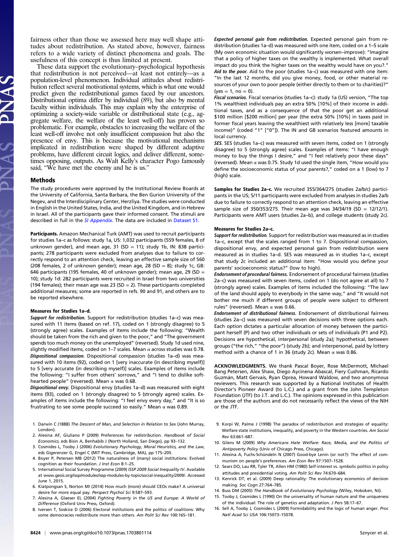fairness other than those we assessed here may well shape attitudes about redistribution. As stated above, however, fairness refers to a wide variety of distinct phenomena and goals. The usefulness of this concept is thus limited at present.

These data support the evolutionary–psychological hypothesis that redistribution is not perceived—at least not entirely—as a population-level phenomenon. Individual attitudes about redistribution reflect several motivational systems, which is what one would predict given the redistributional games faced by our ancestors. Distributional optima differ by individual (89), but also by mental faculty within individuals. This may explain why the enterprise of optimizing a society-wide variable or distributional state (e.g., aggregate welfare, the welfare of the least well-off) has proven so problematic. For example, obstacles to increasing the welfare of the least well-off involve not only insufficient compassion but also the presence of envy. This is because the motivational mechanisms implicated in redistribution were shaped by different adaptive problems, have different circuit logics, and deliver different, sometimes opposing, outputs. As Walt Kelly's character Pogo famously said, "We have met the enemy and he is us."

#### Methods

The study procedures were approved by the Institutional Review Boards at the University of California, Santa Barbara, the Ben Gurion University of the Negev, and the Interdisciplinary Center, Herzliya. The studies were conducted in English in the United States, India, and the United Kingdom, and in Hebrew in Israel. All of the participants gave their informed consent. The stimuli are described in full in the [SI Appendix](http://www.pnas.org/lookup/suppl/doi:10.1073/pnas.1703801114/-/DCSupplemental/pnas.1703801114.sapp.pdf). The data are included in [Dataset S1.](http://www.pnas.org/lookup/suppl/doi:10.1073/pnas.1703801114/-/DCSupplemental/pnas.1703801114.sd01.xlsx)

Participants. Amazon Mechanical Turk (AMT) was used to recruit participants for studies 1a–c as follows: study 1a, US: 1,032 participants (559 females, 8 of unknown gender), and mean age, 31 (SD = 11); study 1b, IN: 838 participants; 278 participants were excluded from analyses due to failure to correctly respond to an attention check, leaving an effective sample size of 560 (208 females, 2 of unknown gender); mean age, 28 (SD = 8); study 1c, GB: 646 participants (195 females, 40 of unknown gender); mean age, 29 (SD = 10); study 1d: 282 participants were recruited in Israel from two universities (194 females); their mean age was 23 (SD = 2). These participants completed additional measures; some are reported in refs. 90 and 91, and others are to be reported elsewhere.

#### Measures for Studies 1a–d.

Support for redistribution. Support for redistribution (studies 1a-c) was measured with 11 items (based on ref. 17), coded on 1 (strongly disagree) to 5 (strongly agree) scales. Examples of items include the following: "Wealth should be taken from the rich and given to the poor," and "The government spends too much money on the unemployed" (reversed). Study 1d used nine, slightly modified items, coded on 1–7 scales. Mean  $\alpha$  across studies was 0.78. Dispositional compassion. Dispositional compassion (studies 1a–d) was measured with 10 items (92), coded on 1 [very inaccurate (in describing myself)] to 5 [very accurate (in describing myself)] scales. Examples of items include the following: "I suffer from others' sorrows," and "I tend to dislike softhearted people" (reversed). Mean α was 0.68.

Dispositional envy. Dispositional envy (studies 1a–d) was measured with eight items (93), coded on 1 (strongly disagree) to 5 (strongly agree) scales. Examples of items include the following: "I feel envy every day," and "It is so frustrating to see some people succeed so easily." Mean  $\alpha$  was 0.89.

- 1. Darwin C (1888) The Descent of Man, and Selection in Relation to Sex (John Murray, London).
- 2. Alesina AF, Giuliano P (2009) Preferences for redistribution. Handbook of Social Economics, eds Bisin A, Benhabib J (North Holland, San Diego), pp 93–132.
- 3. Cosmides L, Tooby J (2006) Evolutionary Psychology, Moral Heuristics, and the Law, eds Gigerenzer G, Engel C (MIT Press, Cambridge, MA), pp 175–205.
- 4. Boyer P, Petersen MB (2012) The naturalness of (many) social institutions: Evolved cognition as their foundation. J Inst Econ 8:1–25.
- 5. International Social Survey Programme (2009) ISSP 2009 Social Inequality IV. Available at [www.gesis.org/issp/modules/issp-modules-by-topic/social-inequality/2009/](http://www.gesis.org/issp/modules/issp-modules-by-topic/social-inequality/2009/). Accessed June 1, 2015.
- 6. Kiatpongsan S, Norton MI (2014) How much (more) should CEOs make? A universal desire for more equal pay. Perspect Psychol Sci 9:587–593.
- 7. Alesina A, Glaeser EL (2004) Fighting Poverty in the US and Europe: A World of Difference (Oxford Univ Press, Oxford).
- 8. Iversen T, Soskice D (2006) Electoral institutions and the politics of coalitions: Why some democracies redistribute more than others. Am Polit Sci Rev 100:165–181.

Expected personal gain from redistribution. Expected personal gain from redistribution (studies 1a–d) was measured with one item, coded on a 1–5 scale (My own economic situation would significantly worsen–improve): "Imagine that a policy of higher taxes on the wealthy is implemented. What overall impact do you think the higher taxes on the wealthy would have on you?." Aid to the poor. Aid to the poor (studies 1a-c) was measured with one item: "In the last 12 months, did you give money, food, or other material resources of your own to poor people (either directly to them or to charities)?"  $(yes = 1, no = 0).$ 

Fiscal scenarios. Fiscal scenarios (studies 1a–c): study 1a (US) version, "The top 1% wealthiest individuals pay an extra 50% [10%] of their income in additional taxes, and as a consequence of that the poor get an additional \$100 million [\$200 million] per year (the extra 50% [10%] in taxes paid in former fiscal years leaving the wealthiest with relatively less [more] taxable income)" (coded "1" ["0"]). The IN and GB scenarios featured amounts in local currency.

SES. SES (studies 1a–c) was measured with seven items, coded on 1 (strongly disagree) to 5 (strongly agree) scales. Examples of items: "I have enough money to buy the things I desire," and "I feel relatively poor these days" (reversed). Mean  $\alpha$  was 0.75. Study 1d used the single item, "How would you define the socioeconomic status of your parents?," coded on a 1 (low) to 7 (high) scale.

Samples for Studies 2a-c. We recruited 355/364/275 (studies 2a/b/c) participants in the US; 5/11 participants were excluded from analyses in studies 2a/b due to failure to correctly respond to an attention check, leaving an effective sample size of 350/353/275. Their mean age was  $34/34/19$  (SD = 12/12/1). Participants were AMT users (studies 2a–b), and college students (study 2c).

#### Measures for Studies 2a–c.

Support for redistribution. Support for redistribution was measured as in studies 1a–c, except that the scales ranged from 1 to 7. Dispositional compassion, dispositional envy, and expected personal gain from redistribution were measured as in studies 1a–d. SES was measured as in studies 1a–c, except that study 2c included an additional item: "How would you define your parents' socioeconomic status?" (low to high).

Endorsement of procedural fairness. Endorsement of procedural fairness (studies 2a–c) was measured with seven items, coded on 1 (do not agree at all) to 7 (strongly agree) scales. Examples of items included the following: "The law of the land should apply to everybody in the same way," and "It would not bother me much if different groups of people were subject to different rules" (reversed). Mean α was 0.66.

Endorsement of distributional fairness. Endorsement of distributional fairness (studies 2a–c) was measured with seven decisions with three options each. Each option dictates a particular allocation of money between the participant herself (P) and two other individuals or sets of individuals (P1 and P2). Decisions are hypothetical, interpersonal (study 2a); hypothetical, between groups ("the rich," "the poor") (study 2b); and interpersonal, paid by lottery method with a chance of 1 in 36 (study 2c). Mean  $\alpha$  was 0.86.

ACKNOWLEDGMENTS. We thank Pascal Boyer, Rose McDermott, Michael Bang Petersen, Alex Shaw, Diego Aycinena Abascal, Fiery Cushman, Ricardo Guzmán, Matt Gervais, Ryan Oprea, Howard Waldow, and two anonymous reviewers. This research was supported by a National Institutes of Health Director's Pioneer Award (to L.C.) and a grant from the John Templeton Foundation (JTF) (to J.T. and L.C.). The opinions expressed in this publication are those of the authors and do not necessarily reflect the views of the NIH or the JTF.

- 9. Korpi W, Palme J (1998) The paradox of redistribution and strategies of equality: Welfare state institutions, inequality, and poverty in the Western countries. Am Sociol Rev 63:661–687.
- 10. Gilens M (2009) Why Americans Hate Welfare: Race, Media, and the Politics of Antipoverty Policy (Univ of Chicago Press, Chicago).
- 11. Alesina A, Fuchs-Schündeln N (2007) Good-bye Lenin (or not?): The effect of communism on people's preferences. Am Econ Rev 97:1507–1528.
- 12. Sears DO, Lau RR, Tyler TR, Allen HM (1980) Self-interest vs. symbolic politics in policy attitudes and presidential voting. Am Polit Sci Rev 74:670–684.
- 13. Kenrick DT, et al. (2009) Deep rationality: The evolutionary economics of decision making. Soc Cogn 27:764–785.
- 14. Buss DM (2005) The Handbook of Evolutionary Psychology (Wiley, Hoboken, NJ).
- 15. Tooby J, Cosmides L (1990) On the universality of human nature and the uniqueness of the individual: The role of genetics and adaptation. J Pers 58:17–67.
- 16. Sell A, Tooby J, Cosmides L (2009) Formidability and the logic of human anger. Proc Natl Acad Sci USA 106:15073–15078.